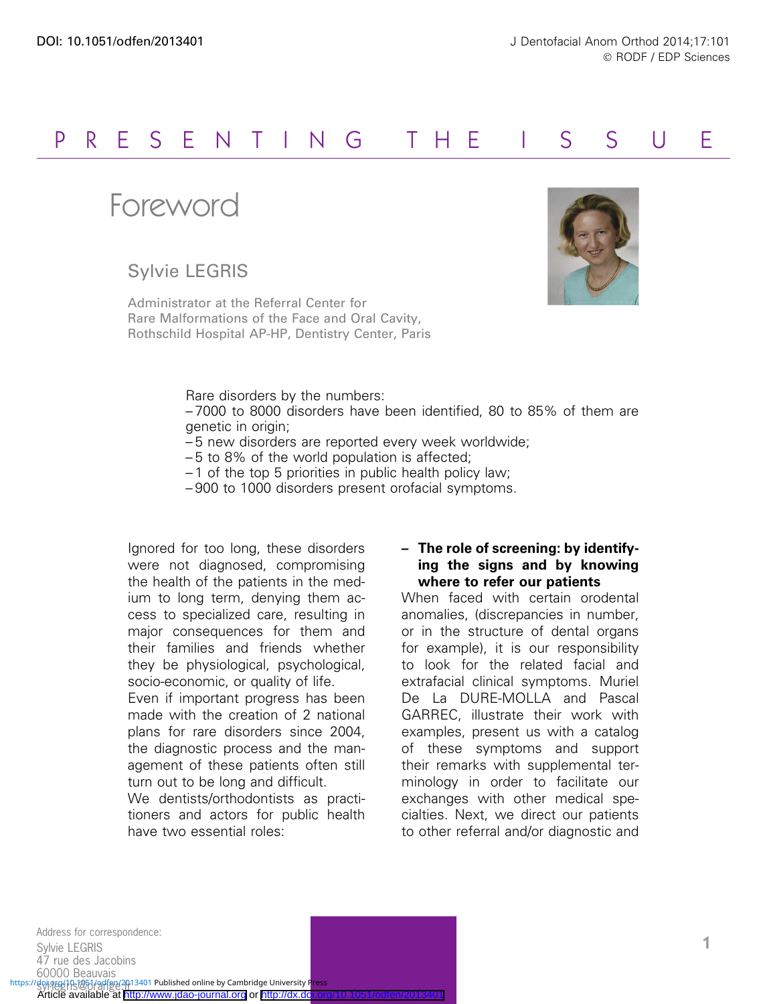## P R E S E N T I N G THE I S S U E

Foreword

Sylvie LEGRIS

Administrator at the Referral Center for Rare Malformations of the Face and Oral Cavity, Rothschild Hospital AP-HP, Dentistry Center, Paris



Rare disorders by the numbers:

– 7000 to 8000 disorders have been identified, 80 to 85% of them are genetic in origin;

- 5 new disorders are reported every week worldwide;
- 5 to 8% of the world population is affected;
- 1 of the top 5 priorities in public health policy law;
- 900 to 1000 disorders present orofacial symptoms.

Ignored for too long, these disorders were not diagnosed, compromising the health of the patients in the medium to long term, denying them access to specialized care, resulting in major consequences for them and their families and friends whether they be physiological, psychological, socio-economic, or quality of life.

Even if important progress has been made with the creation of 2 national plans for rare disorders since 2004, the diagnostic process and the management of these patients often still turn out to be long and difficult.

We dentists/orthodontists as practitioners and actors for public health have two essential roles:

## – The role of screening: by identifying the signs and by knowing where to refer our patients

When faced with certain orodental anomalies, (discrepancies in number, or in the structure of dental organs for example), it is our responsibility to look for the related facial and extrafacial clinical symptoms. Muriel De La DURE-MOLLA and Pascal GARREC, illustrate their work with examples, present us with a catalog of these symptoms and support their remarks with supplemental terminology in order to facilitate our exchanges with other medical specialties. Next, we direct our patients to other referral and/or diagnostic and